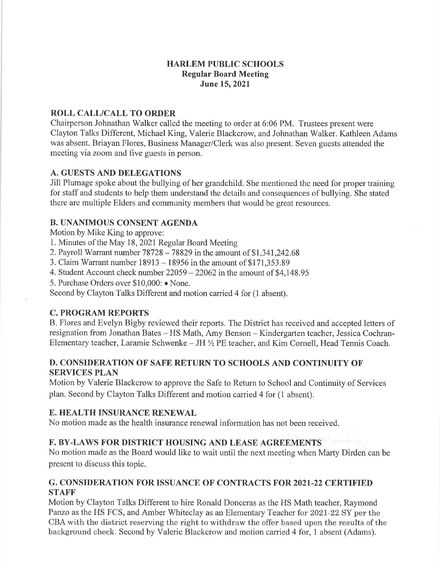# HARLEM PUBLIC SCHOOLS Regular Board Meeting June 15, 2021

# ROLL CALL/CALL TO ORDER

Chairperson Johnathan Walker called the meeting to order at 6:06 PM. Trustees present were Clayton Talks Different, Michael King, Valerie Blackcrow, and Johnathan Walker. Kathleen Adams was absent. Briayan Flores, Business Manager/Clerk was also present. Seven guests attended the meeting via zoom and five guests in person.

## A. GUESTS AND DELEGATIONS

Jill Plumage spoke about the bullying of her grandchild. She mentioned the need for proper training for staff and students to help them understand the details and consequences of bullying. She stated there are multiple Elders and community members that would be great resources.

# B. UNANIMOUS CONSENT AGENDA

Motion by Mike King to approve:

- 1. Minutes of the May 18,202I Regular Board Meeting
- 2. Payroll Warrant number  $78728 78829$  in the amount of \$1,341,242.68
- 3. Claim Warrant number 18913 18956 in the amount of \$171,353.89
- 4. Student Account check number  $22059 22062$  in the amount of \$4,148.95
- 5. Purchase Orders over \$10,000: o None.

Second by Clayton Talks Different and motion carried 4 for (1 absent).

## C. PROGRAM REPORTS

B. Flores and Evelyn Bigby reviewed their reports. The District has received and accepted letters of resignation from Jonathan Bates - HS Math, Amy Benson - Kindergarten teacher, Jessica Cochran-Elementary teacher, Laramie Schwenke  $-$  JH $\frac{1}{2}$  PE teacher, and Kim Cornell, Head Tennis Coach.

# D. CONSIDERATION OF SAFE RETURN TO SCHOOLS AND CONTINUITY OF SERVICES PLAN

Motion by Valerie Blackcrow to approve the Safe to Return to School and Continuity of Services plan. Second by Clayton Talks Different and motion carried 4 for (1 absent).

# E. HEALTH INSURANCE RENEWAL

No motion made as the health insurance renewal information has not been received.

# F. BY-LAWS FOR DISTRICT HOUSING AND LEASE AGREEMENTS

No motion made as the Board would like to wait until the next meeting when Marty Dirden can be present to discuss this topic.

## G. CONSIDERATION FOR ISSUANCE OF CONTRACTS FOR 2O2I-22 CERTIFIED STAFF

Motion by Clayton Talks Different to hire Ronald Donceras as the HS Math teacher, Raymond Panzo as the HS FCS, and Amber Whiteclay as an Elementary Teacher for 2027-22 SY per the CBA with the district reserving the right to withdraw the offer based upon the results of the background check. Second by Valerie Blackcrow and motion carried 4 for, 1 absent (Adams).